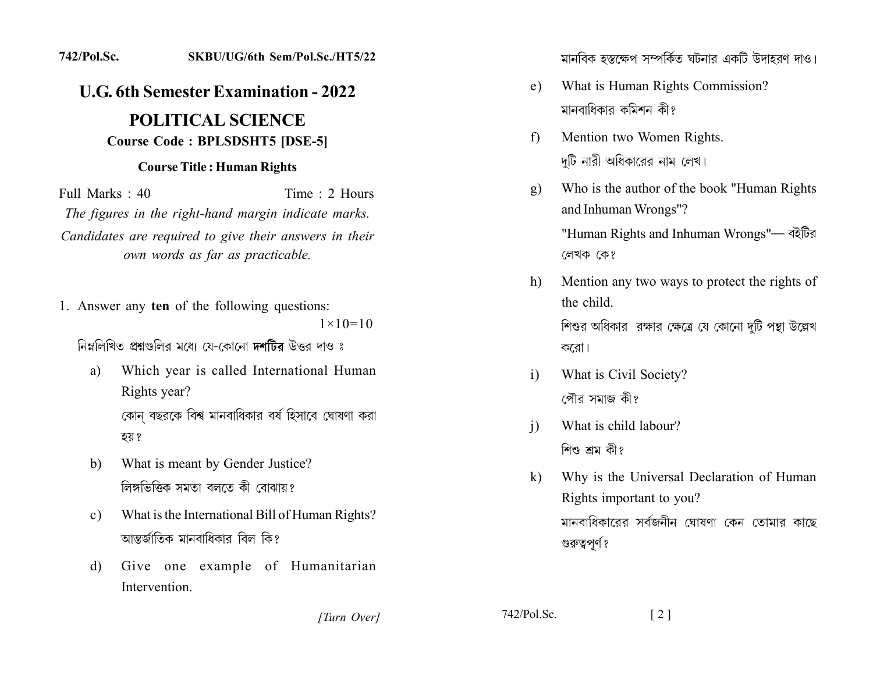## 742/Pol.Sc. SKBU/UG/6th Sem/Pol.Sc./HT5/22

## **U.G. 6th Semester Examination - 2022 POLITICAL SCIENCE**

## **Course Code: BPLSDSHT5 [DSE-5]**

## **Course Title: Human Rights**

Full Marks : 40 Time : 2 Hours The figures in the right-hand margin indicate marks. Candidates are required to give their answers in their own words as far as practicable.

1. Answer any ten of the following questions:  $1 \times 10 = 10$ 

নিম্নলিখিত প্রশ্নগুলির মধ্যে যে-কোনো দশটির উত্তর দাও ঃ

- Which year is called International Human a) Rights year? কোন বছরকে বিশ্ব মানবাধিকার বর্ষ হিসাবে ঘোষণা করা হয় ?
- What is meant by Gender Justice?  $b)$ লিঙ্গভিত্তিক সমতা বলতে কী বোঝায়?
- What is the International Bill of Human Rights?  $c)$ আম্বর্জাতিক মানবাধিকার বিল কি?
- Give one example of Humanitarian  $\mathbf{d}$ Intervention.

মানবিক হস্তক্ষেপ সম্পর্কিত ঘটনার একটি উদাহরণ দাও।

- What is Human Rights Commission?  $e)$ মানবাধিকার কমিশন কী?
- Mention two Women Rights.  $f$ দটি নারী অধিকারের নাম লেখ।
- Who is the author of the book "Human Rights"  $g)$ and Inhuman Wrongs"?

"Human Rights and Inhuman Wrongs"— বইটির লেখক কে?

- Mention any two ways to protect the rights of h) the child. শিশুর অধিকার রক্ষার ক্ষেত্রে যে কোনো দটি পন্থা উল্লেখ করো।
- What is Civil Society?  $i)$ পৌর সমাজ কী?
- What is child labour?  $\overline{1}$ শিশু শ্ৰম কী?
- Why is the Universal Declaration of Human  $\bf{k}$ ) Rights important to you? মানবাধিকারের সর্বজনীন ঘোষণা কেন তোমার কাছে গুরুত্বপূর্ণ?

[Turn Over]

 $742/Pol.Sc.$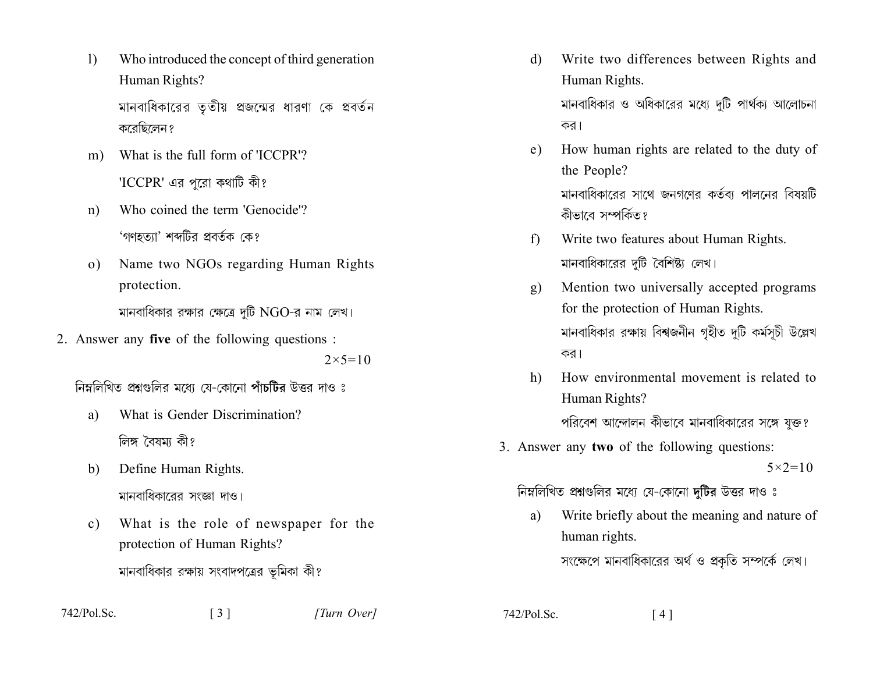- Who introduced the concept of third generation  $\left| \right|$ Human Rights? মানবাধিকারের তৃতীয় প্রজন্মের ধারণা কে প্রবর্তন করেছিলেন ?
- What is the full form of 'ICCPR'?  $m)$ 'ICCPR' এর পরো কথাটি কী?
- Who coined the term 'Genocide'?  $n)$ 'গণহত্যা' শব্দটির প্রবর্তক কে?
- Name two NGOs regarding Human Rights  $\Omega$ ) protection.

মানবাধিকার রক্ষার ক্ষেত্রে দুটি NGO-র নাম লেখ।

2. Answer any five of the following questions :

 $2 \times 5 = 10$ 

নিম্নলিখিত প্রশ্নগুলির মধ্যে যে-কোনো পাঁচটির উত্তর দাও ঃ

- What is Gender Discrimination? a) লিঙ্গ বৈষমা কী?
- Define Human Rights. b) মানবাধিকারের সংজ্ঞা দাও।
- What is the role of newspaper for the  $c)$ protection of Human Rights? মানবাধিকার রক্ষায় সংবাদপত্রের ভূমিকা কী?
- $742/P<sub>o</sub>$ l Sc

Write two differences between Rights and  $\mathbf{d}$ Human Rights. মানবাধিকার ও অধিকারের মধ্যে দটি পার্থক্য আলোচনা

কর। How human rights are related to the duty of e) the People?

মানবাধিকারের সাথে জনগণের কর্তব্য পালনের বিষয়টি কীভাবে সম্পর্কিত?

- Write two features about Human Rights.  $f$ মানবাধিকারের দুটি বৈশিষ্ট্য লেখ।
- Mention two universally accepted programs  $g)$ for the protection of Human Rights. মানবাধিকার রক্ষায় বিশ্বজনীন গহীত দটি কর্মসূচী উল্লেখ কর।
- How environmental movement is related to  $h$ ) Human Rights? পরিবেশ আন্দোলন কীভাবে মানবাধিকারের সঙ্গে যুক্ত?
- 3. Answer any two of the following questions:

 $5 \times 2 = 10$ 

নিম্নলিখিত প্রশ্নগুলির মধ্যে যে-কোনো দটির উত্তর দাও ঃ

Write briefly about the meaning and nature of a) human rights. সংক্ষেপে মানবাধিকারের অর্থ ও প্রকৃতি সম্পর্কে লেখ।

 $742/Pol.Sc.$